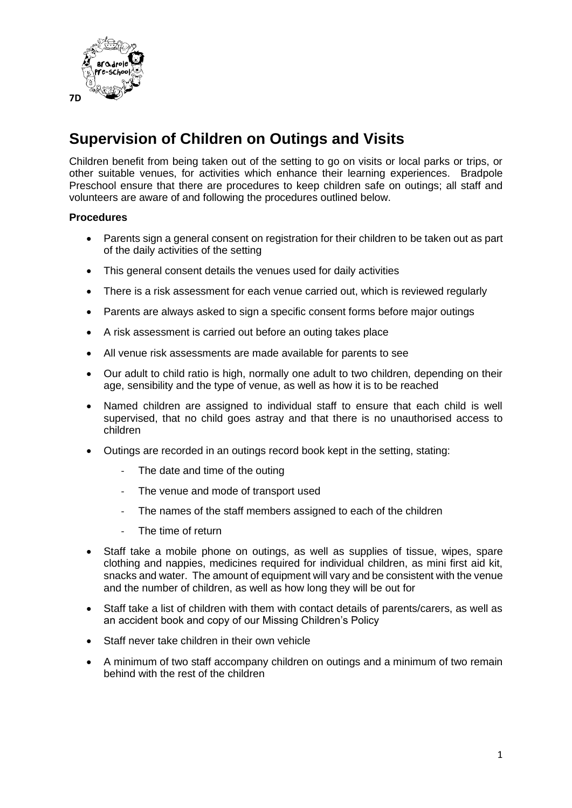

## **Supervision of Children on Outings and Visits**

Children benefit from being taken out of the setting to go on visits or local parks or trips, or other suitable venues, for activities which enhance their learning experiences. Bradpole Preschool ensure that there are procedures to keep children safe on outings; all staff and volunteers are aware of and following the procedures outlined below.

## **Procedures**

- Parents sign a general consent on registration for their children to be taken out as part of the daily activities of the setting
- This general consent details the venues used for daily activities
- There is a risk assessment for each venue carried out, which is reviewed regularly
- Parents are always asked to sign a specific consent forms before major outings
- A risk assessment is carried out before an outing takes place
- All venue risk assessments are made available for parents to see
- Our adult to child ratio is high, normally one adult to two children, depending on their age, sensibility and the type of venue, as well as how it is to be reached
- Named children are assigned to individual staff to ensure that each child is well supervised, that no child goes astray and that there is no unauthorised access to children
- Outings are recorded in an outings record book kept in the setting, stating:
	- The date and time of the outing
	- The venue and mode of transport used
	- The names of the staff members assigned to each of the children
	- The time of return
- Staff take a mobile phone on outings, as well as supplies of tissue, wipes, spare clothing and nappies, medicines required for individual children, as mini first aid kit, snacks and water. The amount of equipment will vary and be consistent with the venue and the number of children, as well as how long they will be out for
- Staff take a list of children with them with contact details of parents/carers, as well as an accident book and copy of our Missing Children's Policy
- Staff never take children in their own vehicle
- A minimum of two staff accompany children on outings and a minimum of two remain behind with the rest of the children